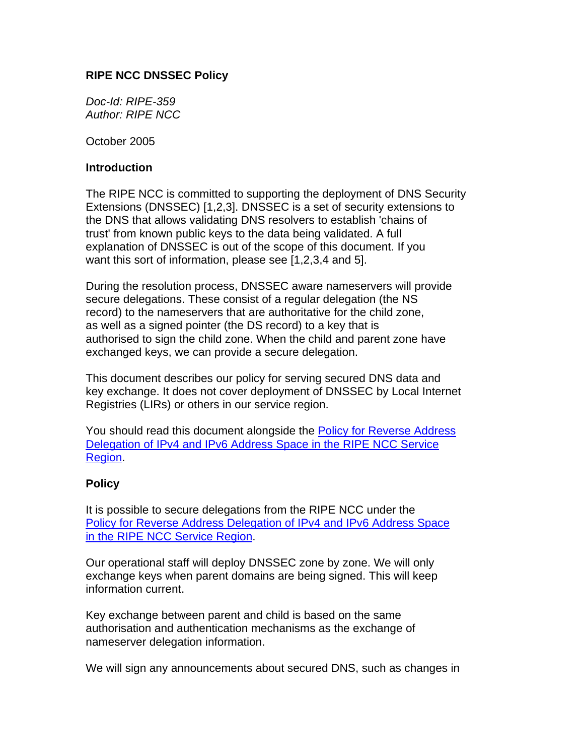# **RIPE NCC DNSSEC Policy**

*Doc-Id: RIPE-359 Author: RIPE NCC* 

October 2005

### **Introduction**

The RIPE NCC is committed to supporting the deployment of DNS Security Extensions (DNSSEC) [1,2,3]. DNSSEC is a set of security extensions to the DNS that allows validating DNS resolvers to establish 'chains of trust' from known public keys to the data being validated. A full explanation of DNSSEC is out of the scope of this document. If you want this sort of information, please see [1,2,3,4 and 5].

During the resolution process, DNSSEC aware nameservers will provide secure delegations. These consist of a regular delegation (the NS record) to the nameservers that are authoritative for the child zone, as well as a signed pointer (the DS record) to a key that is authorised to sign the child zone. When the child and parent zone have exchanged keys, we can provide a secure delegation.

This document describes our policy for serving secured DNS data and key exchange. It does not cover deployment of DNSSEC by Local Internet Registries (LIRs) or others in our service region.

You should read this document alongside the [Policy for Reverse Address](http://www.ripe.net/ripe/docs/rev-del.html) [Delegation of IPv4 and IPv6 Address Space in the RIPE NCC Service](http://www.ripe.net/ripe/docs/rev-del.html) [Region.](http://www.ripe.net/ripe/docs/rev-del.html)

## **Policy**

It is possible to secure delegations from the RIPE NCC under the [Policy for Reverse Address Delegation of IPv4 and IPv6 Address Space](http://www.ripe.net/ripe/docs/rev-del.html) [in the RIPE NCC Service Region.](http://www.ripe.net/ripe/docs/rev-del.html)

Our operational staff will deploy DNSSEC zone by zone. We will only exchange keys when parent domains are being signed. This will keep information current.

Key exchange between parent and child is based on the same authorisation and authentication mechanisms as the exchange of nameserver delegation information.

We will sign any announcements about secured DNS, such as changes in